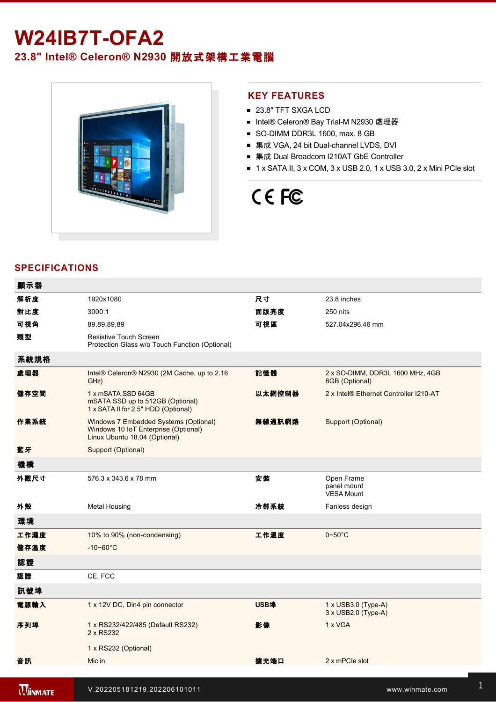## **W24IB7T-OFA2**

### **23.8" Intel® Celeron® N2930** 開放式架構工業電腦



### **KEY FEATURES**

- 23.8" TFT SXGA LCD
- Intel® Celeron® Bay Trial-M N2930 處理器
- SO-DIMM DDR3L 1600, max. 8 GB
- 集成 VGA, 24 bit Dual-channel LVDS, DVI
- 集成 Dual Broadcom I210AT GbE Controller
- $\blacksquare$  1 x SATA II, 3 x COM, 3 x USB 2.0, 1 x USB 3.0, 2 x Mini PCIe slot

# CE FC

### **SPECIFICATIONS**

| 顯示器            |                                                                                                                |             |                                                          |
|----------------|----------------------------------------------------------------------------------------------------------------|-------------|----------------------------------------------------------|
| 解析度            | 1920x1080                                                                                                      | 尺寸          | 23.8 inches                                              |
| 對比度            | 3000:1                                                                                                         | 面版亮度        | 250 nits                                                 |
| 可視角            | 89,89,89,89                                                                                                    | 可視區         | 527.04x296.46 mm                                         |
| 類型             | Resistive Touch Screen<br>Protection Glass w/o Touch Function (Optional)                                       |             |                                                          |
| 系統規格           |                                                                                                                |             |                                                          |
| 處理器            | Intel® Celeron® N2930 (2M Cache, up to 2.16<br>GHz)                                                            | 記憶體         | 2 x SO-DIMM, DDR3L 1600 MHz, 4GB<br>8GB (Optional)       |
| 儲存空間           | 1 x mSATA SSD 64GB<br>mSATA SSD up to 512GB (Optional)<br>1 x SATA II for 2.5" HDD (Optional)                  | 以太網控制器      | 2 x Intel® Ethernet Controller I210-AT                   |
| 作業系統           | Windows 7 Embedded Systems (Optional)<br>Windows 10 IoT Enterprise (Optional)<br>Linux Ubuntu 18.04 (Optional) | 無線通訊網路      | Support (Optional)                                       |
| 藍牙             | Support (Optional)                                                                                             |             |                                                          |
| 機構             |                                                                                                                |             |                                                          |
| 外觀尺寸           | 576.3 x 343.6 x 78 mm                                                                                          | 安装          | Open Frame<br>panel mount<br><b>VESA Mount</b>           |
| 外殼             | <b>Metal Housing</b>                                                                                           | 冷卻系統        | Fanless design                                           |
| 環境             |                                                                                                                |             |                                                          |
| 工作濕度           | 10% to 90% (non-condensing)                                                                                    | 工作溫度        | $0 - 50$ °C                                              |
| 儲存溫度           | $-10 - 60^{\circ}C$                                                                                            |             |                                                          |
| 認證             |                                                                                                                |             |                                                          |
| 認證             | CE, FCC                                                                                                        |             |                                                          |
| 訊號埠            |                                                                                                                |             |                                                          |
| 電源輸入           | 1 x 12V DC, Din4 pin connector                                                                                 | <b>USB埠</b> | $1 \times$ USB3.0 (Type-A)<br>$3 \times$ USB2.0 (Type-A) |
| 序列埠            | 1 x RS232/422/485 (Default RS232)<br>2 x RS232                                                                 | 影像          | 1 x VGA                                                  |
|                | 1 x RS232 (Optional)                                                                                           |             |                                                          |
| 音訊             | Mic in                                                                                                         | 擴充端口        | 2 x mPCle slot                                           |
| <b>MINMATE</b> | V.202205181219.202206101011                                                                                    |             | www.winmate.com                                          |